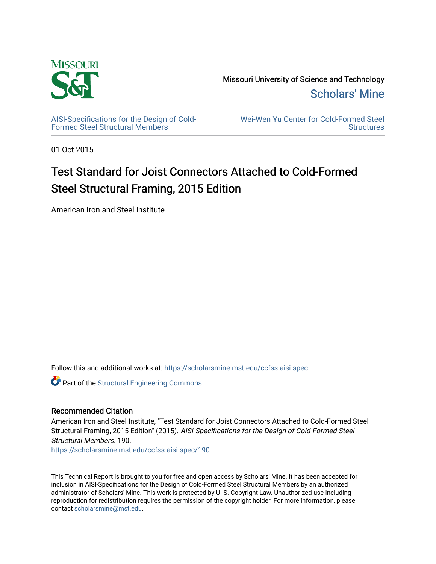

[AISI-Specifications for the Design of Cold-](https://scholarsmine.mst.edu/ccfss-aisi-spec)[Formed Steel Structural Members](https://scholarsmine.mst.edu/ccfss-aisi-spec)

[Wei-Wen Yu Center for Cold-Formed Steel](https://scholarsmine.mst.edu/ccfss)  **Structures** 

01 Oct 2015

## Test Standard for Joist Connectors Attached to Cold-Formed Steel Structural Framing, 2015 Edition

American Iron and Steel Institute

Follow this and additional works at: [https://scholarsmine.mst.edu/ccfss-aisi-spec](https://scholarsmine.mst.edu/ccfss-aisi-spec?utm_source=scholarsmine.mst.edu%2Fccfss-aisi-spec%2F190&utm_medium=PDF&utm_campaign=PDFCoverPages) 

**Part of the Structural Engineering Commons** 

#### Recommended Citation

American Iron and Steel Institute, "Test Standard for Joist Connectors Attached to Cold-Formed Steel Structural Framing, 2015 Edition" (2015). AISI-Specifications for the Design of Cold-Formed Steel Structural Members. 190.

[https://scholarsmine.mst.edu/ccfss-aisi-spec/190](https://scholarsmine.mst.edu/ccfss-aisi-spec/190?utm_source=scholarsmine.mst.edu%2Fccfss-aisi-spec%2F190&utm_medium=PDF&utm_campaign=PDFCoverPages) 

This Technical Report is brought to you for free and open access by Scholars' Mine. It has been accepted for inclusion in AISI-Specifications for the Design of Cold-Formed Steel Structural Members by an authorized administrator of Scholars' Mine. This work is protected by U. S. Copyright Law. Unauthorized use including reproduction for redistribution requires the permission of the copyright holder. For more information, please contact [scholarsmine@mst.edu](mailto:scholarsmine@mst.edu).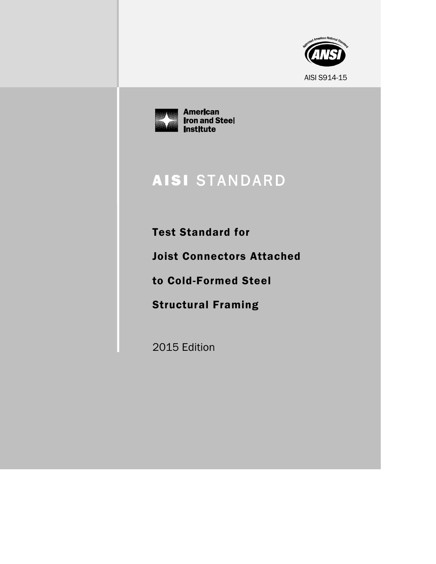



# **AISI** STANDARD

Test Standard for

Joist Connectors Attached

to Cold-Formed Steel

Structural Framing

2015 Edition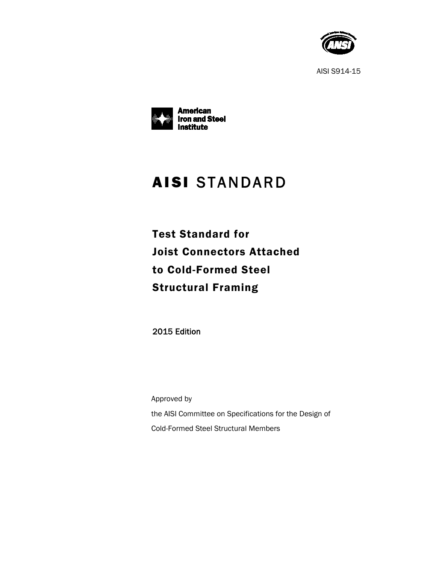

AISI S914-15



## AISI STANDARD

Test Standard for Joist Connectors Attached to Cold-Formed Steel Structural Framing

2015 Edition

Approved by the AISI Committee on Specifications for the Design of Cold-Formed Steel Structural Members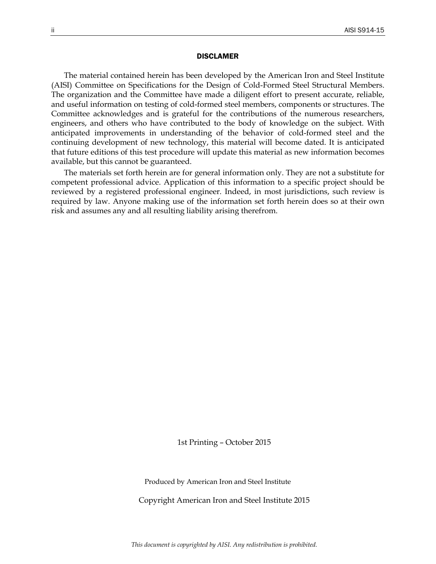#### DISCLAMER

The material contained herein has been developed by the American Iron and Steel Institute (AISI) Committee on Specifications for the Design of Cold-Formed Steel Structural Members. The organization and the Committee have made a diligent effort to present accurate, reliable, and useful information on testing of cold-formed steel members, components or structures. The Committee acknowledges and is grateful for the contributions of the numerous researchers, engineers, and others who have contributed to the body of knowledge on the subject. With anticipated improvements in understanding of the behavior of cold-formed steel and the continuing development of new technology, this material will become dated. It is anticipated that future editions of this test procedure will update this material as new information becomes available, but this cannot be guaranteed.

The materials set forth herein are for general information only. They are not a substitute for competent professional advice. Application of this information to a specific project should be reviewed by a registered professional engineer. Indeed, in most jurisdictions, such review is required by law. Anyone making use of the information set forth herein does so at their own risk and assumes any and all resulting liability arising therefrom.

1st Printing – October 2015

Produced by American Iron and Steel Institute

Copyright American Iron and Steel Institute 2015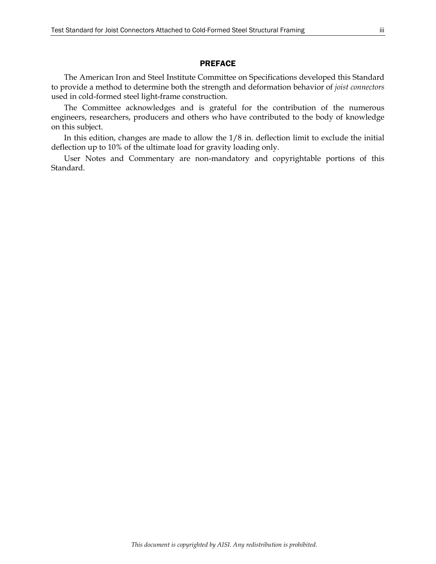#### PREFACE

The American Iron and Steel Institute Committee on Specifications developed this Standard to provide a method to determine both the strength and deformation behavior of *joist connectors* used in cold-formed steel light-frame construction.

The Committee acknowledges and is grateful for the contribution of the numerous engineers, researchers, producers and others who have contributed to the body of knowledge on this subject.

In this edition, changes are made to allow the 1/8 in. deflection limit to exclude the initial deflection up to 10% of the ultimate load for gravity loading only.

User Notes and Commentary are non-mandatory and copyrightable portions of this Standard.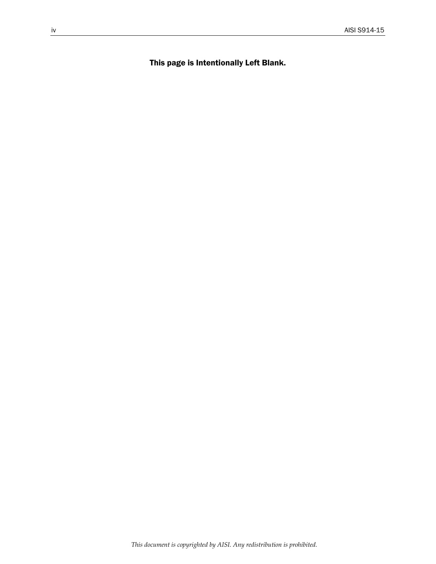This page is Intentionally Left Blank.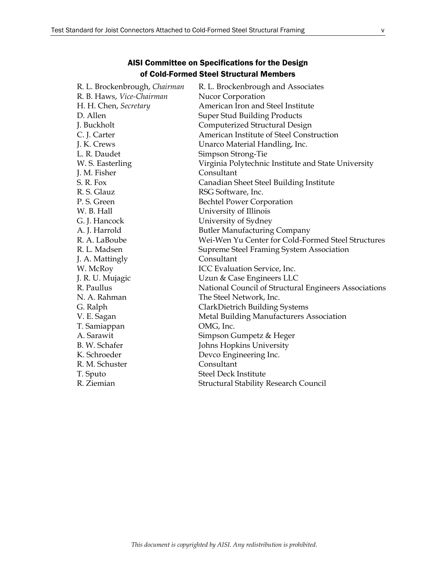### AISI Committee on Specifications for the Design of Cold-Formed Steel Structural Members

| R. L. Brockenbrough, Chairman | R. L. Brockenbrough and Associates                    |
|-------------------------------|-------------------------------------------------------|
| R. B. Haws, Vice-Chairman     | Nucor Corporation                                     |
| H. H. Chen, Secretary         | American Iron and Steel Institute                     |
| D. Allen                      | <b>Super Stud Building Products</b>                   |
| J. Buckholt                   | Computerized Structural Design                        |
| C. J. Carter                  | American Institute of Steel Construction              |
| J. K. Crews                   | Unarco Material Handling, Inc.                        |
| L. R. Daudet                  | Simpson Strong-Tie                                    |
| W. S. Easterling              | Virginia Polytechnic Institute and State University   |
| J. M. Fisher                  | Consultant                                            |
| S. R. Fox                     | Canadian Sheet Steel Building Institute               |
| R. S. Glauz                   | RSG Software, Inc.                                    |
| P. S. Green                   | <b>Bechtel Power Corporation</b>                      |
| W. B. Hall                    | University of Illinois                                |
| G. J. Hancock                 | University of Sydney                                  |
| A. J. Harrold                 | <b>Butler Manufacturing Company</b>                   |
| R. A. LaBoube                 | Wei-Wen Yu Center for Cold-Formed Steel Structures    |
| R. L. Madsen                  | Supreme Steel Framing System Association              |
| J. A. Mattingly               | Consultant                                            |
| W. McRoy                      | ICC Evaluation Service, Inc.                          |
| J. R. U. Mujagic              | Uzun & Case Engineers LLC                             |
| R. Paullus                    | National Council of Structural Engineers Associations |
| N. A. Rahman                  | The Steel Network, Inc.                               |
| G. Ralph                      | ClarkDietrich Building Systems                        |
| V. E. Sagan                   | Metal Building Manufacturers Association              |
| T. Samiappan                  | OMG, Inc.                                             |
| A. Sarawit                    | Simpson Gumpetz & Heger                               |
| B. W. Schafer                 | Johns Hopkins University                              |
| K. Schroeder                  | Devco Engineering Inc.                                |
| R. M. Schuster                | Consultant                                            |
| T. Sputo                      | <b>Steel Deck Institute</b>                           |
| R. Ziemian                    | <b>Structural Stability Research Council</b>          |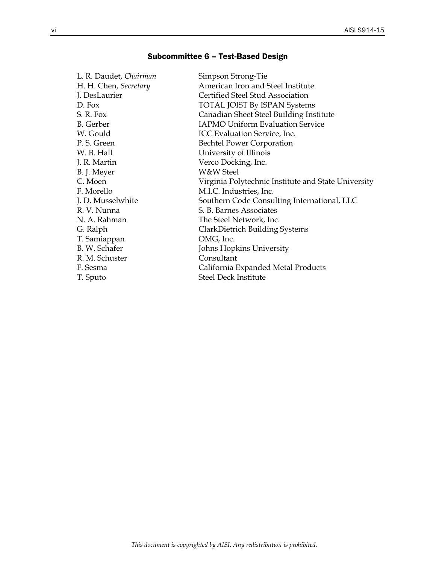## Subcommittee 6 – Test-Based Design

| L. R. Daudet, Chairman | Simpson Strong-Tie                                  |
|------------------------|-----------------------------------------------------|
| H. H. Chen, Secretary  | American Iron and Steel Institute                   |
| J. DesLaurier          | Certified Steel Stud Association                    |
| D. Fox                 | TOTAL JOIST By ISPAN Systems                        |
| S. R. Fox              | Canadian Sheet Steel Building Institute             |
| B. Gerber              | <b>IAPMO Uniform Evaluation Service</b>             |
| W. Gould               | ICC Evaluation Service, Inc.                        |
| P. S. Green            | <b>Bechtel Power Corporation</b>                    |
| W. B. Hall             | University of Illinois                              |
| J. R. Martin           | Verco Docking, Inc.                                 |
| B. J. Meyer            | W&W Steel                                           |
| C. Moen                | Virginia Polytechnic Institute and State University |
| F. Morello             | M.I.C. Industries, Inc.                             |
| J. D. Musselwhite      | Southern Code Consulting International, LLC         |
| R. V. Nunna            | S. B. Barnes Associates                             |
| N. A. Rahman           | The Steel Network, Inc.                             |
| G. Ralph               | <b>ClarkDietrich Building Systems</b>               |
| T. Samiappan           | OMG, Inc.                                           |
| B. W. Schafer          | Johns Hopkins University                            |
| R. M. Schuster         | Consultant                                          |
| F. Sesma               | California Expanded Metal Products                  |
| T. Sputo               | <b>Steel Deck Institute</b>                         |
|                        |                                                     |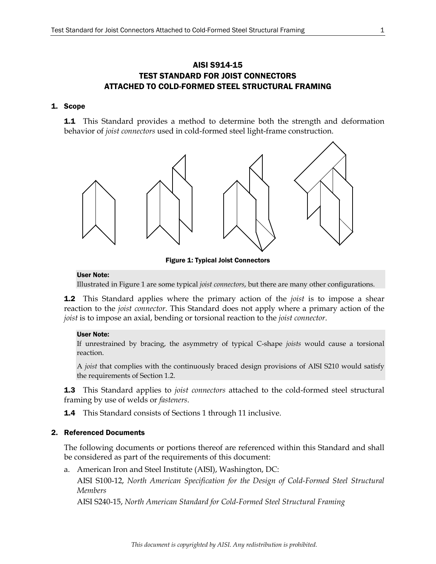### AISI S914-15 TEST STANDARD FOR JOIST CONNECTORS ATTACHED TO COLD-FORMED STEEL STRUCTURAL FRAMING

#### 1. Scope

**1.1** This Standard provides a method to determine both the strength and deformation behavior of *joist connectors* used in cold-formed steel light-frame construction.



Figure 1: Typical Joist Connectors

User Note:

Illustrated in Figure 1 are some typical *joist connectors*, but there are many other configurations.

1.2 This Standard applies where the primary action of the *joist* is to impose a shear reaction to the *joist connector*. This Standard does not apply where a primary action of the *joist* is to impose an axial, bending or torsional reaction to the *joist connector*.

#### User Note:

If unrestrained by bracing, the asymmetry of typical C-shape *joists* would cause a torsional reaction.

A *joist* that complies with the continuously braced design provisions of AISI S210 would satisfy the requirements of Section 1.2.

1.3 This Standard applies to *joist connectors* attached to the cold-formed steel structural framing by use of welds or *fasteners*.

**1.4** This Standard consists of Sections 1 through 11 inclusive.

#### 2. Referenced Documents

The following documents or portions thereof are referenced within this Standard and shall be considered as part of the requirements of this document:

a. American Iron and Steel Institute (AISI), Washington, DC:

AISI S100-12, *North American Specification for the Design of Cold-Formed Steel Structural Members*

AISI S240-15, *North American Standard for Cold-Formed Steel Structural Framing*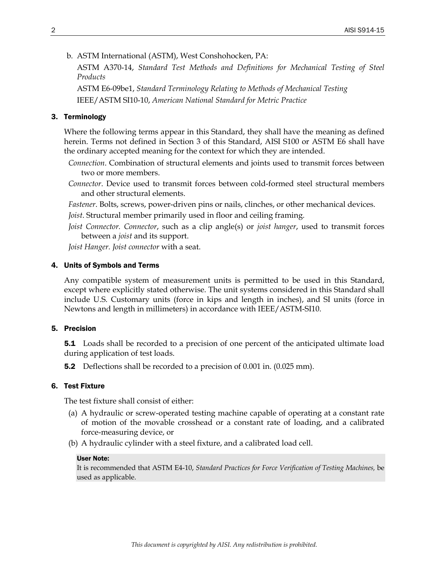b. ASTM International (ASTM), West Conshohocken, PA:

ASTM A370-14, *Standard Test Methods and Definitions for Mechanical Testing of Steel Products*

ASTM E6-09be1, *Standard Terminology Relating to Methods of Mechanical Testing* IEEE/ASTM SI10-10, *American National Standard for Metric Practice*

#### 3. Terminology

Where the following terms appear in this Standard, they shall have the meaning as defined herein. Terms not defined in Section 3 of this Standard, AISI S100 or ASTM E6 shall have the ordinary accepted meaning for the context for which they are intended.

- *Connection*. Combination of structural elements and joints used to transmit forces between two or more members.
- *Connector*. Device used to transmit forces between cold-formed steel structural members and other structural elements.

*Fastener*. Bolts, screws, power-driven pins or nails, clinches, or other mechanical devices.

*Joist*. Structural member primarily used in floor and ceiling framing.

*Joist Connector. Connector*, such as a clip angle(s) or *joist hanger*, used to transmit forces between a *joist* and its support.

*Joist Hanger. Joist connector* with a seat.

#### 4. Units of Symbols and Terms

Any compatible system of measurement units is permitted to be used in this Standard, except where explicitly stated otherwise. The unit systems considered in this Standard shall include U.S. Customary units (force in kips and length in inches), and SI units (force in Newtons and length in millimeters) in accordance with IEEE/ASTM-SI10.

#### 5. Precision

**5.1** Loads shall be recorded to a precision of one percent of the anticipated ultimate load during application of test loads.

**5.2** Deflections shall be recorded to a precision of 0.001 in. (0.025 mm).

#### 6. Test Fixture

The test fixture shall consist of either:

- (a) A hydraulic or screw-operated testing machine capable of operating at a constant rate of motion of the movable crosshead or a constant rate of loading, and a calibrated force-measuring device, or
- (b) A hydraulic cylinder with a steel fixture, and a calibrated load cell.

#### User Note:

It is recommended that ASTM E4-10, *Standard Practices for Force Verification of Testing Machines,* be used as applicable.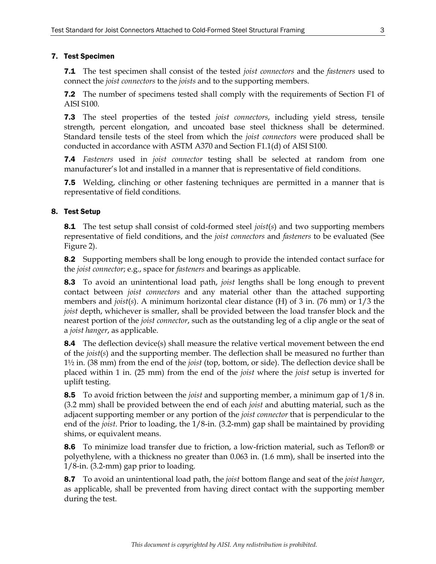#### 7. Test Specimen

7.1 The test specimen shall consist of the tested *joist connectors* and the *fasteners* used to connect the *joist connectors* to the *joists* and to the supporting members.

**7.2** The number of specimens tested shall comply with the requirements of Section F1 of AISI S100.

7.3 The steel properties of the tested *joist connectors*, including yield stress, tensile strength, percent elongation, and uncoated base steel thickness shall be determined. Standard tensile tests of the steel from which the *joist connectors* were produced shall be conducted in accordance with ASTM A370 and Section F1.1(d) of AISI S100.

7.4 *Fasteners* used in *joist connector* testing shall be selected at random from one manufacturer's lot and installed in a manner that is representative of field conditions.

**7.5** Welding, clinching or other fastening techniques are permitted in a manner that is representative of field conditions.

#### 8. Test Setup

8.1 The test setup shall consist of cold-formed steel *joist*(*s*) and two supporting members representative of field conditions, and the *joist connectors* and *fasteners* to be evaluated (See Figure 2).

8.2 Supporting members shall be long enough to provide the intended contact surface for the *joist connector*; e.g., space for *fasteners* and bearings as applicable.

8.3 To avoid an unintentional load path, *joist* lengths shall be long enough to prevent contact between *joist connectors* and any material other than the attached supporting members and *joist*(*s*). A minimum horizontal clear distance (H) of 3 in. (76 mm) or 1/3 the *joist* depth, whichever is smaller, shall be provided between the load transfer block and the nearest portion of the *joist connector*, such as the outstanding leg of a clip angle or the seat of a *joist hanger*, as applicable.

**8.4** The deflection device(s) shall measure the relative vertical movement between the end of the *joist*(*s*) and the supporting member. The deflection shall be measured no further than 1½ in. (38 mm) from the end of the *joist* (top, bottom, or side). The deflection device shall be placed within 1 in. (25 mm) from the end of the *joist* where the *joist* setup is inverted for uplift testing.

8.5 To avoid friction between the *joist* and supporting member, a minimum gap of 1/8 in. (3.2 mm) shall be provided between the end of each *joist* and abutting material, such as the adjacent supporting member or any portion of the *joist connector* that is perpendicular to the end of the *joist*. Prior to loading, the 1/8-in. (3.2-mm) gap shall be maintained by providing shims, or equivalent means.

8.6 To minimize load transfer due to friction, a low-friction material, such as Teflon® or polyethylene, with a thickness no greater than 0.063 in. (1.6 mm), shall be inserted into the 1/8-in. (3.2-mm) gap prior to loading.

8.7 To avoid an unintentional load path, the *joist* bottom flange and seat of the *joist hanger*, as applicable, shall be prevented from having direct contact with the supporting member during the test.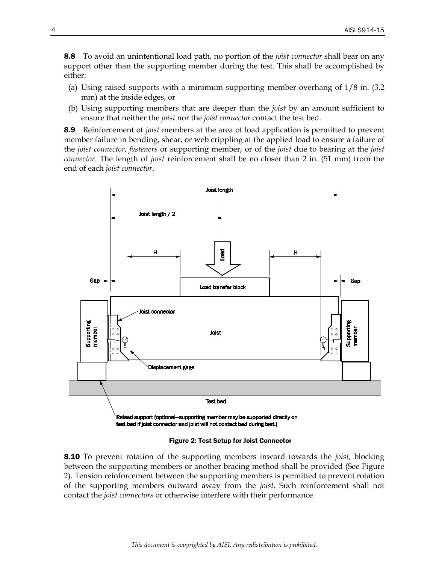8.8 To avoid an unintentional load path, no portion of the *joist connector* shall bear on any support other than the supporting member during the test. This shall be accomplished by either:

- (a) Using raised supports with a minimum supporting member overhang of 1/8 in. (3.2 mm) at the inside edges, or
- (b) Using supporting members that are deeper than the *joist* by an amount sufficient to ensure that neither the *joist* nor the *joist connector* contact the test bed.

8.9 Reinforcement of *joist* members at the area of load application is permitted to prevent member failure in bending, shear, or web crippling at the applied load to ensure a failure of the *joist connector*, *fasteners* or supporting member, or of the *joist* due to bearing at the *joist connector*. The length of *joist* reinforcement shall be no closer than 2 in. (51 mm) from the end of each *joist connector*.



Figure 2: Test Setup for Joist Connector

8.10 To prevent rotation of the supporting members inward towards the *joist*, blocking between the supporting members or another bracing method shall be provided (See Figure 2). Tension reinforcement between the supporting members is permitted to prevent rotation of the supporting members outward away from the *joist*. Such reinforcement shall not contact the *joist connectors* or otherwise interfere with their performance.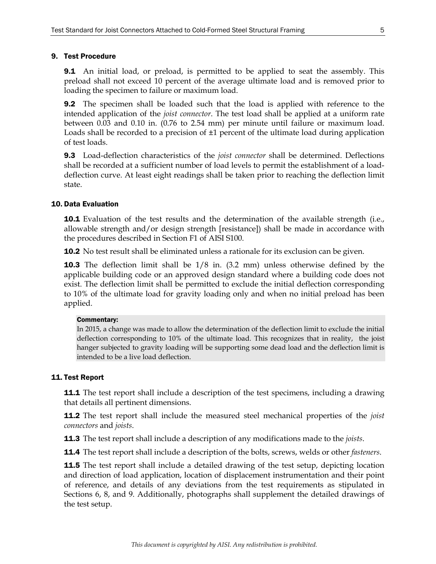#### 9. Test Procedure

**9.1** An initial load, or preload, is permitted to be applied to seat the assembly. This preload shall not exceed 10 percent of the average ultimate load and is removed prior to loading the specimen to failure or maximum load.

**9.2** The specimen shall be loaded such that the load is applied with reference to the intended application of the *joist connector*. The test load shall be applied at a uniform rate between 0.03 and 0.10 in. (0.76 to 2.54 mm) per minute until failure or maximum load. Loads shall be recorded to a precision of  $\pm 1$  percent of the ultimate load during application of test loads.

9.3 Load-deflection characteristics of the *joist connector* shall be determined. Deflections shall be recorded at a sufficient number of load levels to permit the establishment of a loaddeflection curve. At least eight readings shall be taken prior to reaching the deflection limit state.

#### 10. Data Evaluation

**10.1** Evaluation of the test results and the determination of the available strength (i.e., allowable strength and/or design strength [resistance]) shall be made in accordance with the procedures described in Section F1 of AISI S100.

**10.2** No test result shall be eliminated unless a rationale for its exclusion can be given.

**10.3** The deflection limit shall be  $1/8$  in. (3.2 mm) unless otherwise defined by the applicable building code or an approved design standard where a building code does not exist. The deflection limit shall be permitted to exclude the initial deflection corresponding to 10% of the ultimate load for gravity loading only and when no initial preload has been applied.

#### Commentary:

In 2015, a change was made to allow the determination of the deflection limit to exclude the initial deflection corresponding to 10% of the ultimate load. This recognizes that in reality, the joist hanger subjected to gravity loading will be supporting some dead load and the deflection limit is intended to be a live load deflection.

#### 11. Test Report

**11.1** The test report shall include a description of the test specimens, including a drawing that details all pertinent dimensions.

11.2 The test report shall include the measured steel mechanical properties of the *joist connectors* and *joists*.

11.3 The test report shall include a description of any modifications made to the *joists*.

11.4 The test report shall include a description of the bolts, screws, welds or other *fasteners*.

11.5 The test report shall include a detailed drawing of the test setup, depicting location and direction of load application, location of displacement instrumentation and their point of reference, and details of any deviations from the test requirements as stipulated in Sections 6, 8, and 9. Additionally, photographs shall supplement the detailed drawings of the test setup.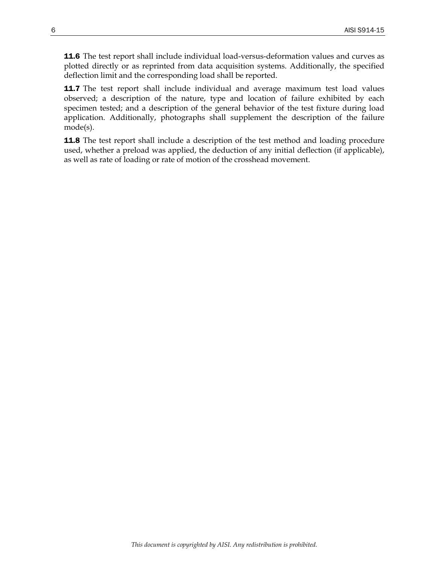**11.6** The test report shall include individual load-versus-deformation values and curves as plotted directly or as reprinted from data acquisition systems. Additionally, the specified deflection limit and the corresponding load shall be reported.

**11.7** The test report shall include individual and average maximum test load values observed; a description of the nature, type and location of failure exhibited by each specimen tested; and a description of the general behavior of the test fixture during load application. Additionally, photographs shall supplement the description of the failure mode(s).

**11.8** The test report shall include a description of the test method and loading procedure used, whether a preload was applied, the deduction of any initial deflection (if applicable), as well as rate of loading or rate of motion of the crosshead movement.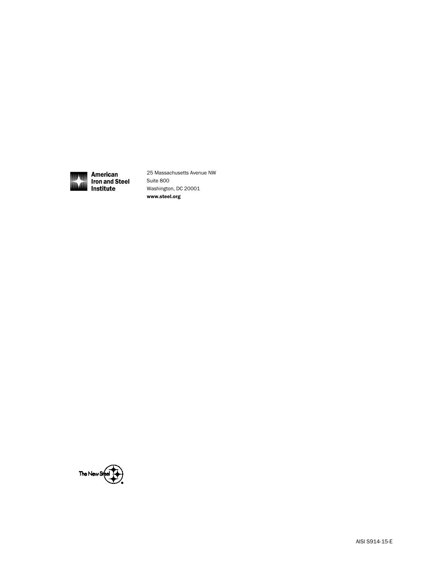

American<br>Iron and Steel<br>Institute

25 Massachusetts Avenue NW Suite 800 Washington, DC 20001 www.steel.org